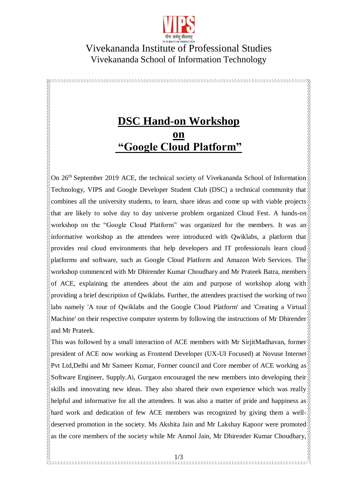

## Vivekananda Institute of Professional Studies Vivekananda School of Information Technology

## **DSC Hand-on Workshop on "Google Cloud Platform"**

**RARAMANA MARAMANA MARANA MA** 

On 26<sup>th</sup> September 2019 ACE, the technical society of Vivekananda School of Information Technology, VIPS and Google Developer Student Club (DSC) a technical community that  $\delta$ combines all the university students, to learn, share ideas and come up with viable projects that are likely to solve day to day universe problem organized Cloud Fest. A hands-on workshop on the "Google Cloud Platform" was organized for the members. It was an informative workshop as the attendees were introduced with Owiklabs, a platform that provides real cloud environments that help developers and IT professionals learn cloud platforms and software, such as Google Cloud Platform and Amazon Web Services. The workshop commenced with Mr Dhirender Kumar Choudhary and Mr Prateek Batra, members of ACE, explaining the attendees about the aim and purpose of workshop along with providing a brief description of Qwiklabs. Further, the attendees practised the working of two labs namely 'A tour of Qwiklabs and the Google Cloud Platform' and 'Creating a Virtual Machine' on their respective computer systems by following the instructions of Mr Dhirender and Mr Prateek.

This was followed by a small interaction of ACE members with Mr SirjitMadhavan, former  $\frac{1}{2}$ president of ACE now working as Frontend Developer (UX-UI Focused) at Novuse Internet Pvt Ltd,Delhi and Mr Sameer Kumar, Former council and Core member of ACE working as Software Engineer, Supply.Ai, Gurgaon encouraged the new members into developing their skills and innovating new ideas. They also shared their own experience which was really helpful and informative for all the attendees. It was also a matter of pride and happiness as hard work and dedication of few ACE members was recognized by giving them a welldeserved promotion in the society. Ms Akshita Jain and Mr Lakshay Kapoor were promoted as the core members of the society while Mr Anmol Jain, Mr Dhirender Kumar Choudhary,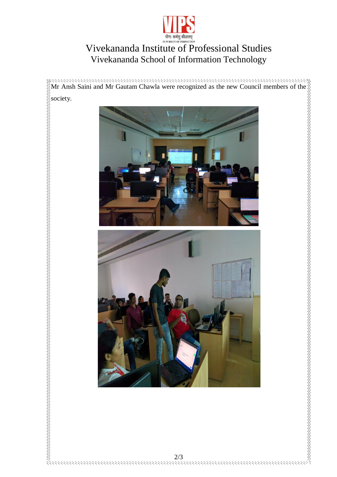

## Vivekananda Institute of Professional Studies Vivekananda School of Information Technology